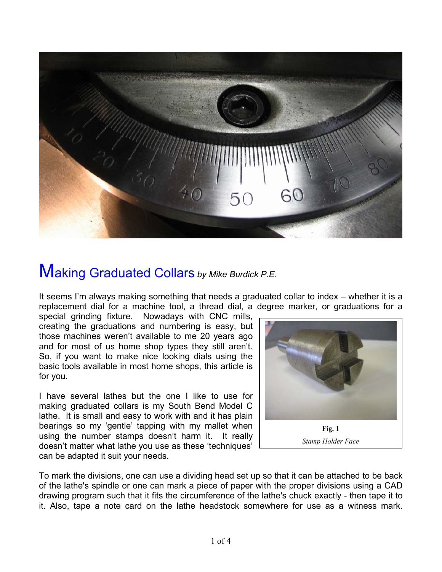

## Making Graduated Collars *by Mike Burdick P.E.*

It seems I'm always making something that needs a graduated collar to index – whether it is a replacement dial for a machine tool, a thread dial, a degree marker, or graduations for a

special grinding fixture. Nowadays with CNC mills, creating the graduations and numbering is easy, but those machines weren't available to me 20 years ago and for most of us home shop types they still aren't. So, if you want to make nice looking dials using the basic tools available in most home shops, this article is for you.

I have several lathes but the one I like to use for making graduated collars is my South Bend Model C lathe. It is small and easy to work with and it has plain bearings so my 'gentle' tapping with my mallet when using the number stamps doesn't harm it. It really doesn't matter what lathe you use as these 'techniques' can be adapted it suit your needs.



To mark the divisions, one can use a dividing head set up so that it can be attached to be back of the lathe's spindle or one can mark a piece of paper with the proper divisions using a CAD drawing program such that it fits the circumference of the lathe's chuck exactly - then tape it to it. Also, tape a note card on the lathe headstock somewhere for use as a witness mark.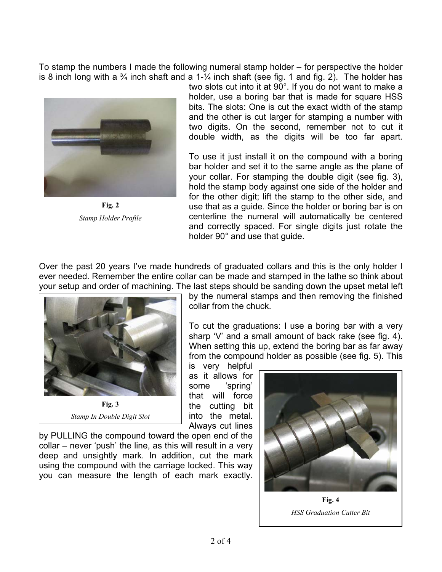To stamp the numbers I made the following numeral stamp holder – for perspective the holder is 8 inch long with a  $\frac{3}{4}$  inch shaft and a 1- $\frac{1}{4}$  inch shaft (see fig. 1 and fig. 2). The holder has



two slots cut into it at 90°. If you do not want to make a holder, use a boring bar that is made for square HSS bits. The slots: One is cut the exact width of the stamp and the other is cut larger for stamping a number with two digits. On the second, remember not to cut it double width, as the digits will be too far apart.

To use it just install it on the compound with a boring bar holder and set it to the same angle as the plane of your collar. For stamping the double digit (see fig. 3), hold the stamp body against one side of the holder and for the other digit; lift the stamp to the other side, and use that as a guide. Since the holder or boring bar is on centerline the numeral will automatically be centered and correctly spaced. For single digits just rotate the holder 90° and use that guide.

Over the past 20 years I've made hundreds of graduated collars and this is the only holder I ever needed. Remember the entire collar can be made and stamped in the lathe so think about your setup and order of machining. The last steps should be sanding down the upset metal left



*Stamp In Double Digit Slot*

by the numeral stamps and then removing the finished collar from the chuck.

To cut the graduations: I use a boring bar with a very sharp 'V' and a small amount of back rake (see fig. 4). When setting this up, extend the boring bar as far away from the compound holder as possible (see fig. 5). This

is very helpful as it allows for some 'spring' that will force the cutting bit into the metal. Always cut lines

by PULLING the compound toward the open end of the collar – never 'push' the line, as this will result in a very deep and unsightly mark. In addition, cut the mark using the compound with the carriage locked. This way you can measure the length of each mark exactly.



**Fig. 4**  *HSS Graduation Cutter Bit*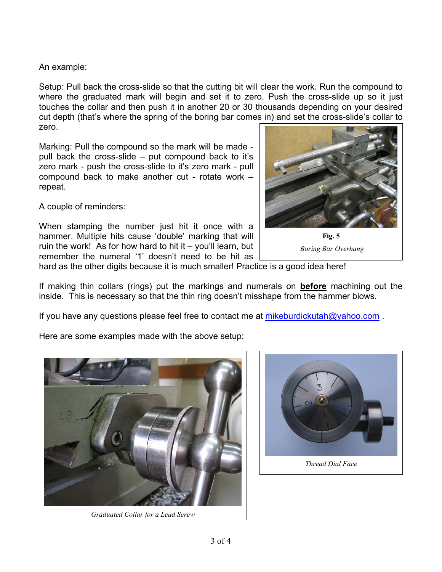An example:

Setup: Pull back the cross-slide so that the cutting bit will clear the work. Run the compound to where the graduated mark will begin and set it to zero. Push the cross-slide up so it just touches the collar and then push it in another 20 or 30 thousands depending on your desired cut depth (that's where the spring of the boring bar comes in) and set the cross-slide's collar to zero.

Marking: Pull the compound so the mark will be made pull back the cross-slide – put compound back to it's zero mark - push the cross-slide to it's zero mark - pull compound back to make another cut - rotate work – repeat.

A couple of reminders:

When stamping the number just hit it once with a hammer. Multiple hits cause 'double' marking that will ruin the work! As for how hard to hit it  $-$  you'll learn, but remember the numeral '1' doesn't need to be hit as



**Fig. 5**   *Boring Bar Overhang* 

hard as the other digits because it is much smaller! Practice is a good idea here!

If making thin collars (rings) put the markings and numerals on **before** machining out the inside. This is necessary so that the thin ring doesn't misshape from the hammer blows.

If you have any questions please feel free to contact me at mikeburdickutah $@$ yahoo.com

Here are some examples made with the above setup:



*Graduated Collar for a Lead Screw*